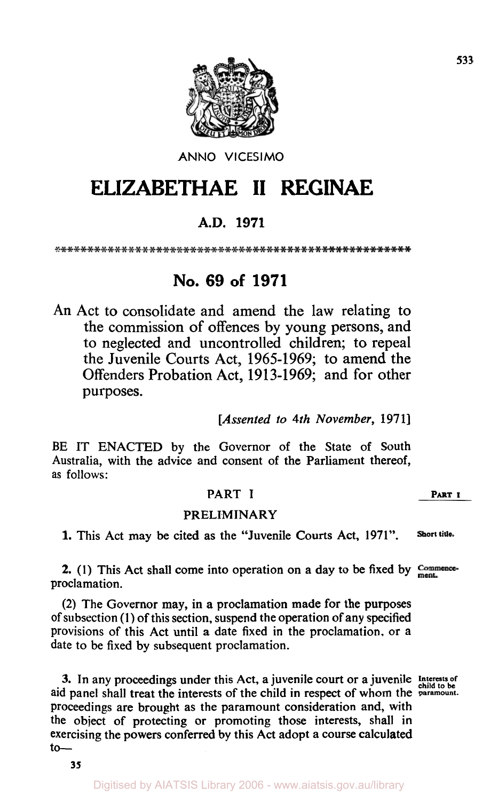

ANNO **VlCESlMO** 

# **ELIZABETHAE II REGINAE**

### **A.D. 1971**

## **No. 69 of 1971**

An Act to consolidate and amend the law relating to the commission of offences by young persons, and to neglected and uncontrolled children; **to** repeal the Juvenile Courts Act, 1965-1969; to amend the Offenders Probation Act, 1913-1969; and for other purposes.

*[Assented to 4th November,* **1971]** 

BE IT ENACTED by the Governor of the State of South Australia, with the advice and consent of the Parliament thereof, as follows:

#### PART I **PART** I

#### PRELIMINARY

**1.** This Act may be cited as the "Juvenile Courts Act, **1971". Short title.** 

**2.** (1) This Act shall come into operation on a day to be fixed by Commenceproclamation.

(2) The Governor may, in a proclamation made for the purposes of subsection **(1)** of this section, suspend the operation of any specified provisions of this Act until a date fixed in the proclamation, or a date to be fixed by subsequent proclamation.

3. In any proceedings under this Act, a juvenile court or a juvenile **Interests of child to be**  aid panel shall treat the interests of the child in respect of whom the **paramount.**  proceedings are brought as the paramount consideration and, with the object of protecting or promoting those interests, shall in exercising the powers conferred by this Act adopt a course calculated  $to-$ 

**35**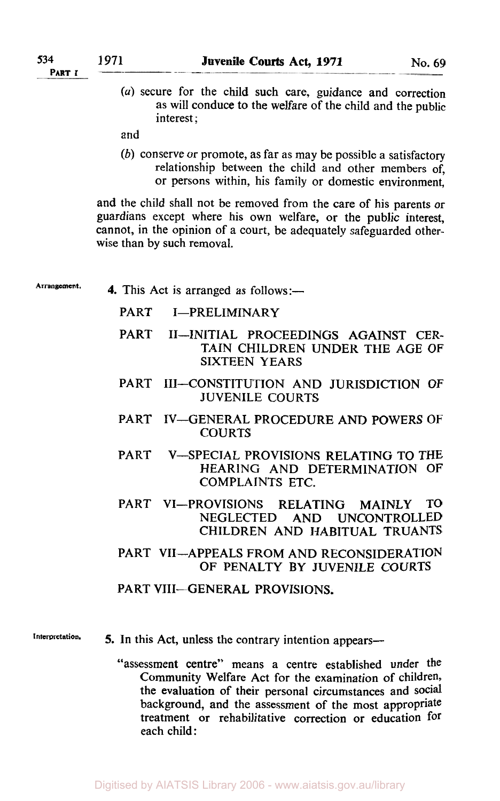*(a)* secure for the child such care, guidance and correction as will conduce to the welfare of the child and the public interest;

and

(b) conserve or promote, as far as may be possible a satisfactory relationship between the child and other members of, or persons within, his family or domestic environment,

and the child shall not be removed from the care of his parents or guardians except where his own welfare, or the public interest, cannot, in the opinion of a court, be adequately safeguarded otherwise than by such removal.

Arrangement. **4.** This Act is arranged as follows:-

PART I-PRELIMINARY

- PART II-INITIAL PROCEEDINGS AGAINST CER-TAIN CHILDREN UNDER THE AGE OF SIXTEEN YEARS
- PART III-CONSTITUTION AND JURISDICTION OF JUVENILE COURTS
- PART IV-GENERAL PROCEDURE AND POWERS OF COURTS
- PART V-SPECIAL PROVISIONS RELATING TO THE HEARING AND DETERMINATION **OF**  COMPLAINTS ETC.
- PART VI-PROVISIONS RELATING MAINLY TO<br>NEGLECTED AND UNCONTROLLED AND UNCONTROLLED CHILDREN AND HABITUAL TRUANTS
- PART VII-APPEALS FROM AND RECONSIDERATION OF PENALTY BY JUVENILE COURTS

PART VIII-GENERAL PROVISIONS.

- 
- **lnterpretation. 5. In** this Act, unless the contrary intention appears
	- assessment centre" means a centre established under the *"*  Community Welfare Act for the examination of children, the evaluation of their personal circumstances and social background, and the assessment of the most appropriate treatment or rehabilitative correction or education for each child: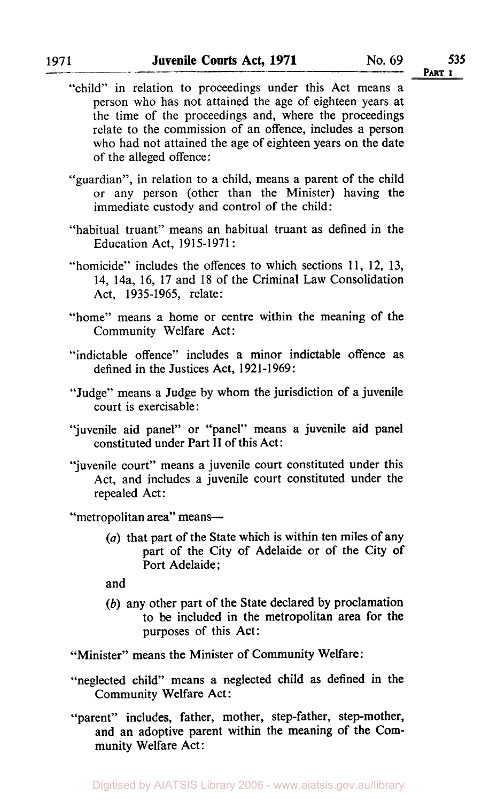- "child" in relation to proceedings under this Act means a person who has not attained the age of eighteen years at the time of the proceedings and, where the proceedings relate to the commission of an offence, includes a person who had not attained the age of eighteen years **on** the date of the alleged offence :
- "guardian", in relation to a child, means a parent of the child or any person (other than the Minister) having the immediate custody and control of the child:
- "habitual truant" means an habitual truant as defined in the Education Act, 1915-1971 :
- "homicide" includes the offences to which sections 11, 12, 13, 14, 14a, 16, 17 and 18 of the Criminal Law Consolidation Act, 1935-1965, relate:
- "home" means a home or centre within the meaning of the Community Welfare Act:
- "indictable offence" includes a minor indictable offence as defined in the Justices Act, 1921-1969:
- "Judge" means a Judge by whom the jurisdiction of a juvenile court is exercisable :
- "juvenile aid panel" or "panel" means **a** juvenile aid panel constituted under Part **II** of this Act:
- "juvenile court" means a juvenile court constituted under this Act, and includes a juvenile court constituted under the repealed Act:

"metropolitan area" means-

*(a)* that part of the State which is within ten miles of any part of the City of Adelaide or **of** the City **of**  Port Adelaide:

and

*(b)* any other part **of** the State declared by proclamation to be included in the metropolitan area for the purposes of this Act:

"Minister" means the Minister of Community Welfare:

- "neglected child" means a neglected child as defined in the Community Welfare Act:
- "parent" includes, father, mother, step-father, step-mother, and an adoptive parent within the meaning of the Community Welfare Act:

1971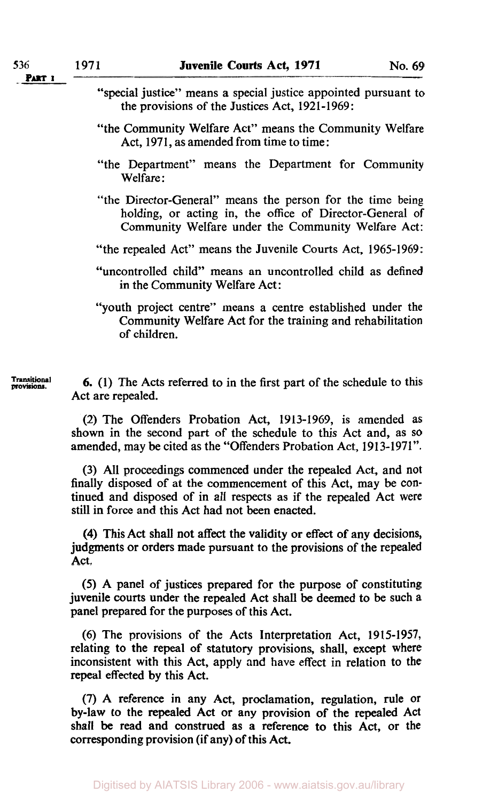- "special justice" means a special justice appointed pursuant to the provisions of the Justices Act, **1921-1969:**
- "the Community Welfare Act" means the Community Welfare Act, **1971,** as amended from time to time:
- "the Department" means the Department for Community Welfare :
- "the Director-General" means the person for the time being holding, or acting in, the office of Director-General of Community Welfare under the Community Welfare Act:
- "the repealed Act" means the Juvenile Courts Act, **1965-1969:**
- "uncontrolled child" means an uncontrolled child as defined in the Community Welfare Act:

"youth project centre" means a centre established under the Community Welfare Act for the training and rehabilitation of children.

**Transitional** *provisions 6.* **(1)** The Acts referred to in the first part of the schedule to this Act are repealed.

> (2) The Offenders Probation Act, **1913-1969,** is amended as shown in the second part of the schedule to this Act and, as **so**  amended, may be cited as the "Offenders Probation Act, **1913-1971".**

> (3) All proceedings commenced under the repealed Act, and not finally disposed of at the commencement of this Act, may be continued and disposed of in all respects as if the repealed Act were still in force and this Act had not been enacted.

> **(4)** This Act shall not affect the validity or effect of any decisions, judgments or orders made pursuant to the provisions of the repealed Act.

> *(5)* A panel of justices prepared for the purpose of constituting juvenile **courts** under the repealed Act shall be deemed to be such **<sup>a</sup>** panel prepared for the purposes of this Act.

> (6) The provisions of the Acts Interpretation Act, **1915-1957,**  relating to the repeal of statutory provisions, shall, except where inconsistent with this Act, apply and have effect in relation to the repeal effected by this Act.

> **(7)** A reference in any Act, proclamation, regulation, rule of by-law to the repealed Act or any provision of the repealed Act shall be read and construed as a reference **to** this Act, or the corresponding provision (if any) of this Act.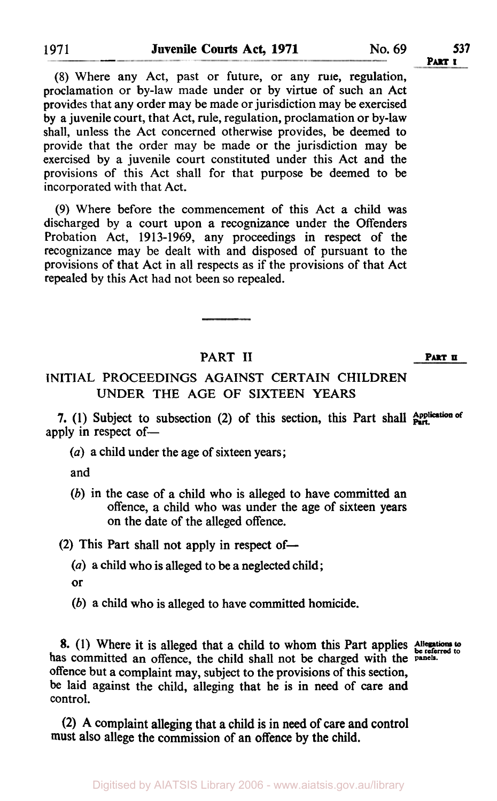(8) Where any Act, past or future, or any rule, regulation, proclamation or by-law made under or by virtue of such an Act provides that any order may be made or jurisdiction may be exercised by a juvenile court, that Act, rule, regulation, proclamation or by-law shall, unless the Act concerned otherwise provides, be deemed to provide that the order may be made or the jurisdiction may be exercised by a juvenile court constituted under this Act and the provisions of this Act shall for that purpose be deemed to be incorporated with that Act.

(9) Where before the commencement of this Act a child was discharged by a court upon a recognizance under the Offenders Probation Act, 1913-1969, any proceedings in respect of the recognizance may be dealt with and disposed of pursuant to the provisions of that Act in all respects as if the provisions of that Act repealed by this Act had not been so repealed.

#### PART II **PART II**

INITIAL PROCEEDINGS AGAINST CERTAIN CHILDREN UNDER THE AGE OF SIXTEEN YEARS

**7.** (1) Subject to subsection (2) of this section, this Part shall **Application** of apply in respect of-

*(a)* a child under the age of sixteen years ;

and

*(b)* in the case of a child who is alleged to have committed an offence, a child who was under the age of sixteen years on the date of the alleged offence.

(2) This Part shall not apply in respect of-

*(a)* **a** child who is alleged to be a neglected child;

- or
- *(b)* a child who is alleged to have committed homicide.

8. (1) Where it is alleged that a child to whom this Part applies Allegations to has committed an offence, the child shall not be charged with the **panels**. offence but a complaint may, subject to the provisions of this section, be laid against the child, alleging that he is in need of care and control.

**(2) A** complaint alleging that a child is in need of care and control must also allege the commission of an **offence** by the child.

1971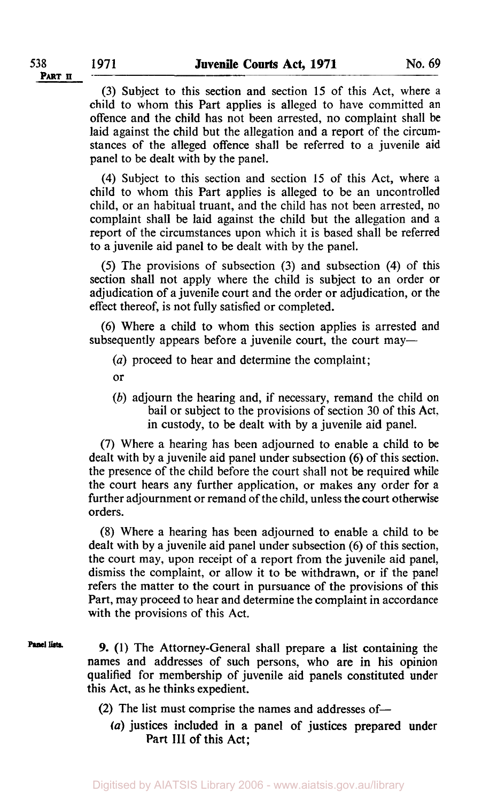**(3)** Subject to this section and section 15 of this Act, where a child to whom this Part applies is alleged to have committed an offence and the child has not been arrested, no complaint shall be laid against the child but the allegation and a report of the circumstances of the alleged offence shall be referred to a juvenile aid panel to be dealt with by the panel.

**(4)** Subject to this section and section 15 of this Act, where a child to whom this Part applies is alleged to be an uncontrolled child, or an habitual truant, and the child has not been arrested, no complaint shall be laid against the child but the allegation and a report of the circumstances upon which it is based shall be referred to a juvenile aid panel to be dealt with by the panel.

*(5)* The provisions of subsection (3) and subsection **(4)** of this section shall not apply where the child is subject to an order or adjudication of a juvenile court and the order or adjudication, or the effect thereof, is not fully satisfied or completed.

**(6)** Where a child to whom this section applies is arrested and subsequently appears before a juvenile court, the court may—

- *(a)* proceed to hear and determine the complaint;
- or
- *(b)* adjourn the hearing and, if necessary, remand the child **on**  bail or subject to the provisions of section **30** of this Act. in custody, to be dealt with by a juvenile aid panel.

(7) Where a hearing has been adjourned to enable a child to be dealt with by a juvenile aid panel under subsection *(6)* of this section, the presence of the child before the court shall not be required while the court hears any further application, or makes any order for a further adjournment or remand of the child, unless the court otherwise orders.

**(8)** Where a hearing has been adjourned to enable a child to be dealt with by a juvenile aid panel under subsection *(6)* of this section, the court may, upon receipt of a report from the juvenile aid panel, dismiss the complaint, or allow it to be withdrawn, or if the panel refers the matter to the court in pursuance of the provisions of this Part, may proceed to hear and determine the complaint in accordance with the provisions of this Act.

Panel lists **9. (1)** The Attorney-General shall prepare a list containing the names and addresses of such persons, who are in his opinion qualified for membership of juvenile aid panels constituted under this Act, as he thinks expedient.

- **(2)** The list must comprise the names and addresses of-
	- *(a)* justices included in a panel of justices prepared under **Part III** of this Act;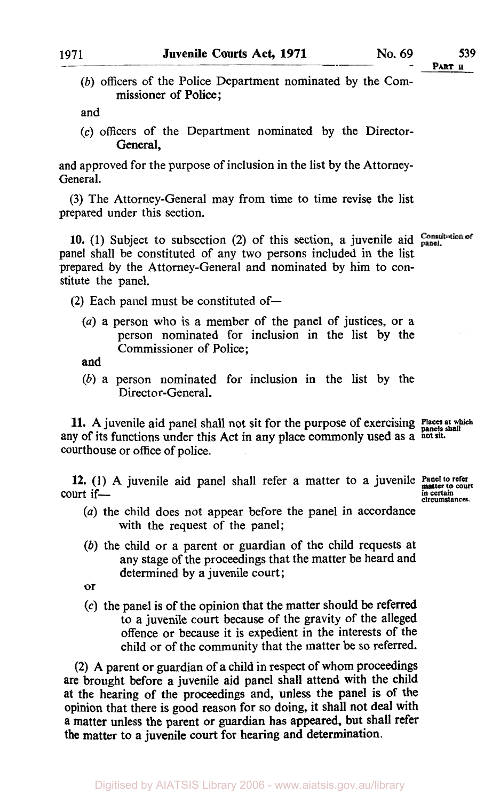- 
- (b) officers of the Police Department nominated by the Commissioner of Police ;

and

(c) officers of the Department nominated by the Director-General,

and approved for the purpose of inclusion in the list by the Attorney-General.

(3) The Attorney-General may from time to time revise the list prepared under this section.

10. (1) Subject to subsection (2) of this section, a juvenile aid  $\frac{\text{Constant}}{\text{panel}}$ panel shall be constituted of any two persons included in the list prepared by the Attorney-General and nominated by him to constitute the panel.

 $(2)$  Each panel must be constituted of-

*(a)* a person who is a member of the panel of justices, or a person nominated for inclusion in the list by the Commissioner of Police;

and

*(b)* a person nominated for inclusion in the list by the Director-General.

**11.** A juvenile aid panel shall not sit for the purpose of exercising **Places** at which any of its functions under this Act in any place commonly used as a not sit. courthouse or office of police.

**12.** (1) A juvenile aid panel shall refer a matter to a juvenile *Panel to refer* court if court if-<br>circumstances.<br>**COU**T if-

- *(a)* the child does not appear before the panel in accordance with the request of the panel;
- *(b)* the child or a parent or guardian of the child requests at any stage of the proceedings that the matter be heard and determined by a juvenile court;
- or
- (c) the panel is of the opinion that the matter should be referred to a juvenile court because of the gravity of the alleged offence or because it is expedient in the interests of the child or of the community that the matter be so referred.

(2) **A** parent or guardian of a child in respect of whom proceedings are brought before a juvenile aid panel shall attend with the child **at** the hearing of the proceedings and, unless the panel is of the opinion that there is good reason for so doing, it shall not deal with **a** matter unless the parent or guardian has appeared, but shall refer the matter to a juvenile court for hearing and determination.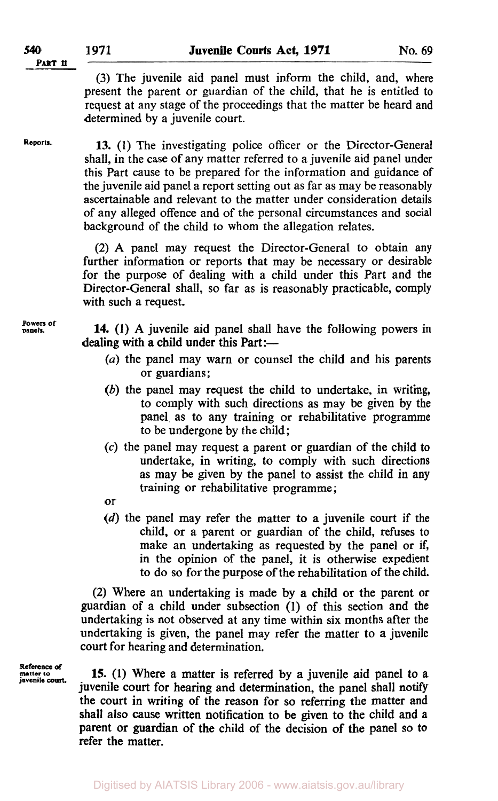(3) The juvenile aid panel must inform the child, and, where present the parent or guardian of the child, that he is entitled to request at any stage of the proceedings that the matter be heard and determined by a juvenile court.

**Reports.** 

**13. (1)** The investigating police officer or the Director-General shall, in the case of any matter referred to a juvenile aid panel under this Part cause to be prepared for the information and guidance of the juvenile aid panel a report setting out as far as may be reasonably ascertainable and relevant to the matter under consideration details of any alleged offence and of the personal circumstances and social background of the child to whom the allegation relates.

(2) **A** panel may request the Director-General to obtain any further information or reports that may be necessary or desirable for the purpose of dealing with a child under this Part and the Director-General shall, so far as is reasonably practicable, comply with such a request.

**Powers Of panels.** 

**14. (1) A** juvenile aid panel shall have the following powers in dealing with a child under this Part:—

- *(a)* the panel may warn or counsel the child and his parents or guardians;
- *(b)* the panel may request the child to undertake, in writing, to comply with such directions as may be given by the panel as to any training or rehabilitative programme to be undergone by the child;
- *(c)* the panel may request a parent or guardian of the child to undertake, in writing, to comply with such directions as may be given by the panel to assist the child in any training or rehabilitative programme;
- or
- (d) the panel may refer the matter to a juvenile court if the child, or a parent or guardian of the child, refuses to make an undertaking as requested by the panel or if, in the opinion of the panel, it is otherwise expedient to do so for the purpose of the rehabilitation of the child.

(2) Where an undertaking is made by a child or the parent or guardian of a child under subsection (1) of this section and the undertaking is not observed at any time within six months after the undertaking is given, the panel may refer the matter to a juvenile court for hearing and determination.

**Reference of**  juvenile court.

**15. (1)** Where a matter is referred by **a** juvenile aid panel to **a**  juvenile court for hearing and determination, the panel shall notify the court in writing of the reason for so referring the matter and shall also cause written notification to be given to the child and a parent or guardian of the child of the decision of the panel so **to**  refer the matter.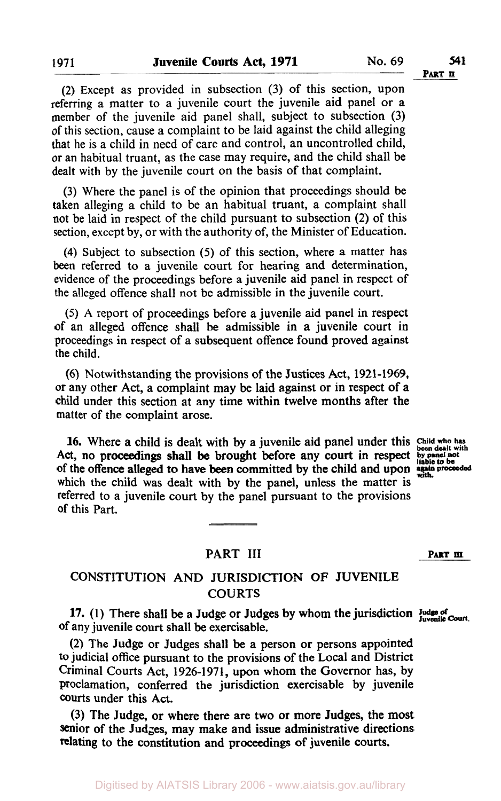**PART II** 

(2) Except as provided in subsection (3) of this section, upon referring a matter to a juvenile court the juvenile aid panel or a member of the juvenile aid panel shall, subject to subsection (3) of this section, cause a complaint to be laid against the child alleging that he is a child in need of care and control, an uncontrolled child, or an habitual truant, as the case may require, and the child shall be dealt with by the juvenile court on the basis of that complaint.

(3) Where the panel is of the opinion that proceedings should be taken alleging a child to be an habitual truant, a complaint shall not be laid in respect of the child pursuant to subsection (2) of this section, except by, or with the authority of, the Minister of Education.

**(4)** Subject to subsection (5) of this section, where a matter has been referred to a juvenile court for hearing and determination, evidence of the proceedings before a juvenile aid panel in respect of the alleged offence shall not be admissible in the juvenile court.

(5) **A** report of proceedings before a juvenile aid panel in respect of an alleged offence shall be admissible in a juvenile court in proceedings in respect of a subsequent offence found proved against the child.

(6) Notwithstanding the provisions of the Justices Act, **1921-1969,**  or any other Act, a complaint may be laid against or in respect of a child under this section at any time within twelve months after the matter of the complaint arose.

16. Where a child is dealt with by a juvenile aid panel under this Child who has of the offence alleged to have been committed by the child and upon again proceeded Act, no proceedings shall be brought before any court in respect **by panel not** be liable to be which the child was dealt with by the panel, unless the matter is referred to a juvenile court by the panel pursuant to the provisions of this Part.

#### PART **III PART m**

#### CONSTITUTION AND JURISDICTION OF JUVENILE **COURTS**

**17.** (1) There shall be a Judge or Judges by whom the jurisdiction Judge of  $_{\text{Iuvenile Court}}$ **of** any juvenile court shall be exercisable.

(2) The Judge or Judges shall be a person or persons appointed *to* judicial office pursuant to the provisions of the Local and District Criminal Courts Act, **1926-1971,** upon whom the Governor has, by proclamation, conferred the jurisdiction exercisable by juvenile Courts under this Act.

(3) The Judge, or where there are two or more Judges, the most senior of the Judges, may make and issue administrative directions relating to the constitution and proceedings **of** juvenile courts.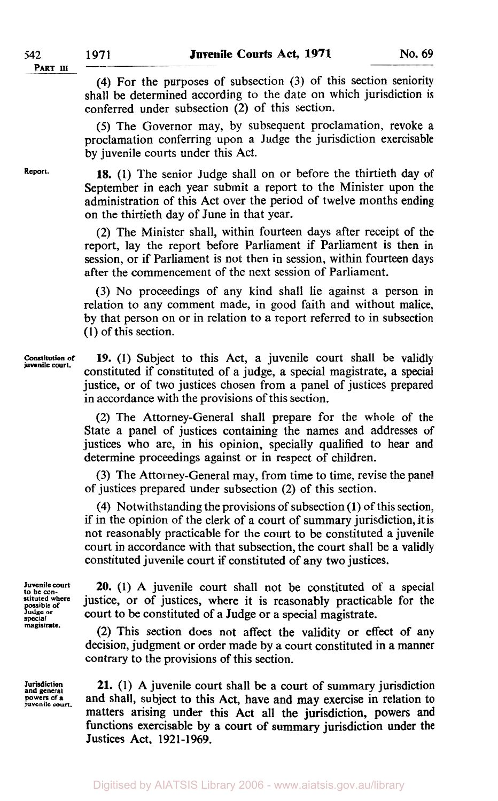**(4)** For the purposes of subsection (3) of this section seniority shall be determined according to the date on which jurisdiction is conferred under subsection (2) of this section.

*(5)* The Governor may, by subsequent proclamation, revoke a proclamation conferring upon a Judge the jurisdiction exercisable by juvenile courts under this Act.

**18. (1)** The senior Judge shall on or before the thirtieth day of September in each year submit a report to the Minister upon the administration of this Act over the period of twelve months ending on the thirtieth day of June in that year.

(2) The Minister shall, within fourteen days after receipt of the report, lay the report before Parliament if Parliament is then in session, or if Parliament is not then in session, within fourteen days after the commencement of the next session of Parliament.

(3) No proceedings of any kind shall lie against a person in relation to any comment made, in good faith and without malice, by that person on or in relation to a report referred to in subsection (1) of this section.

**Constitution of juvenile court.**  19. (1) Subject to this Act, a juvenile court shall be validly constituted if constituted of a judge, a special magistrate, a special justice, or of two justices chosen from a panel of justices prepared in accordance with the provisions of this section.

> (2) The Attorney-General shall prepare for the whole of the State a panel of justices containing the names and addresses of justices who are, in his opinion, specially qualified to hear and determine proceedings against or in respect of children.

> (3) The Attorney-General may, from time to time, revise the panel of justices prepared under subsection (2) of this section.

> **(4)** Notwithstanding the provisions of subsection (1) of this section: if in the opinion of the clerk of a court of summary jurisdiction, it is not reasonably practicable for the court to be constituted a juvenile court in accordance with that subsection, the court shall be a validly constituted juvenile court if constituted of any two justices.

**Juvenile court to be con- stituted where possible of Judge or special magistrate.** 

**Jurisdiction and general powers of a juvenile** court.

**20.** (1) A juvenile court shall not be constituted of a special justice, or of justices, where it is reasonably practicable for the court to be constituted of a Judge or a special magistrate.

(2) This section does not affect the validity or effect of any decision, judgment or order made by a court constituted in a manner contrary to the provisions of this section.

**21. (1)** A juvenile court shall be a court of summary jurisdiction and shall, subject to this Act, have and may exercise in relation to matters arising under this Act all the jurisdiction, powers and functions exercisable by a court of summary jurisdiction under the Justices Act, 1921-1969.

**Report.**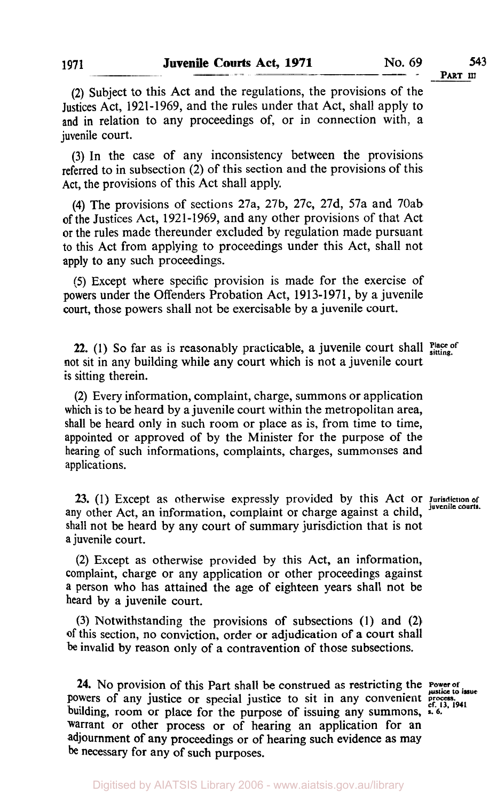**(2)** Subject to this Act and the regulations, the provisions of the Justices Act, 1921-1969, and the rules under that Act, shall apply to and in relation to any proceedings of, or in connection with, a juvenile court.

**(3) In** the case of any inconsistency between the provisions referred to in subsection (2) of this section and the provisions of this Act, the provisions of this Act shall apply.

**(4)** The provisions of sections 27a, 27b, 27c, 27d, 57a and 70ab of the Justices Act, 1921-1969, and any other provisions of that Act or the rules made thereunder excluded by regulation made pursuant to this Act from applying to proceedings under this Act, shall not apply to any such proceedings.

*(5)* Except where specific provision is made for the exercise of powers under the Offenders Probation Act, 1913-1971, by a juvenile **court,** those powers shall not be exercisable by a juvenile court.

**22.** (1) So far as is reasonably practicable, a juvenile court shall **Place of** sitting. not sit in any building while any court which is not a juvenile court *is* sitting therein.

**(2)** Every information, complaint, charge, summons or application which is to be heard by a juvenile court within the metropolitan area, shall be heard only in such room or place as is, from time to time, appointed or approved of by the Minister for the purpose of the hearing of such informations, complaints, charges, summonses and applications.

**23.** (1) Except as otherwise expressly provided by this Act or **Jurisdiction of juvenile courts.**  any other Act, an information, complaint or charge against a child, shall not be heard by any court of summary jurisdiction that is not a juvenile court.

(2) Except as otherwise provided by this Act, an information, complaint, charge or any application or other proceedings against a person who has attained the age of eighteen years shall not be heard by a juvenile court.

**(3)** Notwithstanding the provisions of subsections **(1)** and **(2) of** this section, no conviction, order or adjudication of a court shall be invalid by reason only of a contravention **of** those subsections.

**24.** No provision of this Part shall be construed as restricting the **Power of** powers of any justice or special justice to sit in any convenient *process*. building, room or place for the purpose of issuing any summons, *s. 6.*  warrant or other process or of hearing an application for an adjournment of any proceedings or of hearing such evidence as may be necessary for any of such purposes.